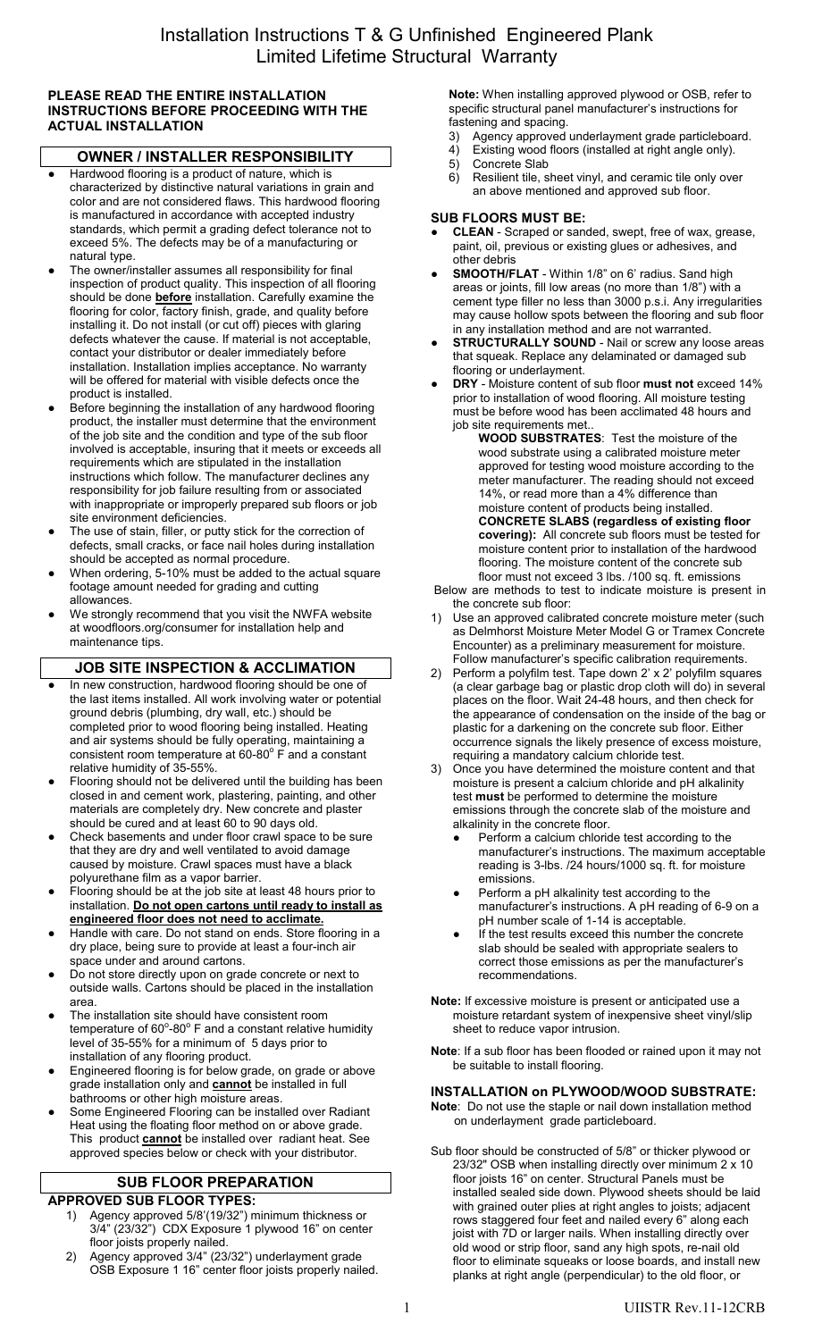### **PLEASE READ THE ENTIRE INSTALLATION INSTRUCTIONS BEFORE PROCEEDING WITH THE ACTUAL INSTALLATION**

# **OWNER / INSTALLER RESPONSIBILITY**

- Hardwood flooring is a product of nature, which is characterized by distinctive natural variations in grain and color and are not considered flaws. This hardwood flooring is manufactured in accordance with accepted industry standards, which permit a grading defect tolerance not to exceed 5%. The defects may be of a manufacturing or natural type.
- The owner/installer assumes all responsibility for final inspection of product quality. This inspection of all flooring should be done **before** installation. Carefully examine the flooring for color, factory finish, grade, and quality before installing it. Do not install (or cut off) pieces with glaring defects whatever the cause. If material is not acceptable, contact your distributor or dealer immediately before installation. Installation implies acceptance. No warranty will be offered for material with visible defects once the product is installed.
- Before beginning the installation of any hardwood flooring product, the installer must determine that the environment of the job site and the condition and type of the sub floor involved is acceptable, insuring that it meets or exceeds all requirements which are stipulated in the installation instructions which follow. The manufacturer declines any responsibility for job failure resulting from or associated with inappropriate or improperly prepared sub floors or job site environment deficiencies.
- The use of stain, filler, or putty stick for the correction of defects, small cracks, or face nail holes during installation should be accepted as normal procedure.
- When ordering, 5-10% must be added to the actual square footage amount needed for grading and cutting allowances.
- We strongly recommend that you visit the NWFA website at woodfloors.org/consumer for installation help and maintenance tips.

# **JOB SITE INSPECTION & ACCLIMATION**

- In new construction, hardwood flooring should be one of the last items installed. All work involving water or potential ground debris (plumbing, dry wall, etc.) should be completed prior to wood flooring being installed. Heating and air systems should be fully operating, maintaining a consistent room temperature at  $60-80^{\circ}$  F and a constant relative humidity of 35-55%.
- Flooring should not be delivered until the building has been closed in and cement work, plastering, painting, and other materials are completely dry. New concrete and plaster should be cured and at least 60 to 90 days old.
- Check basements and under floor crawl space to be sure that they are dry and well ventilated to avoid damage caused by moisture. Crawl spaces must have a black polyurethane film as a vapor barrier.
- *●* Flooring should be at the job site at least 48 hours prior to installation. **Do not open cartons until ready to install as engineered floor does not need to acclimate.**
- Handle with care. Do not stand on ends. Store flooring in a dry place, being sure to provide at least a four-inch air space under and around cartons.
- Do not store directly upon on grade concrete or next to outside walls. Cartons should be placed in the installation area.
- The installation site should have consistent room temperature of 60 $^{\circ}$ -80 $^{\circ}$  F and a constant relative humidity level of 35-55% for a minimum of 5 days prior to installation of any flooring product.
- Engineered flooring is for below grade, on grade or above grade installation only and **cannot** be installed in full bathrooms or other high moisture areas.
- Some Engineered Flooring can be installed over Radiant Heat using the floating floor method on or above grade. This product **cannot** be installed over radiant heat. See approved species below or check with your distributor.

# **SUB FLOOR PREPARATION**

- **APPROVED SUB FLOOR TYPES:** 1) Agency approved 5/8'(19/32") minimum thickness or 3/4" (23/32") CDX Exposure 1 plywood 16" on center floor joists properly nailed.
	- 2) Agency approved 3/4" (23/32") underlayment grade OSB Exposure 1 16" center floor joists properly nailed.

**Note:** When installing approved plywood or OSB, refer to specific structural panel manufacturer's instructions for fastening and spacing.

- 3) Agency approved underlayment grade particleboard.
- 4) Existing wood floors (installed at right angle only).
- 5) Concrete Slab 6) Resilient tile, sheet vinyl, and ceramic tile only over an above mentioned and approved sub floor.

## **SUB FLOORS MUST BE:**

- **● CLEAN** Scraped or sanded, swept, free of wax, grease, paint, oil, previous or existing glues or adhesives, and other debris
- **● SMOOTH/FLAT** Within 1/8" on 6' radius. Sand high areas or joints, fill low areas (no more than 1/8") with a cement type filler no less than 3000 p.s.i. Any irregularities may cause hollow spots between the flooring and sub floor in any installation method and are not warranted.
- **● STRUCTURALLY SOUND** Nail or screw any loose areas that squeak. Replace any delaminated or damaged sub flooring or underlayment.
- **● DRY** Moisture content of sub floor **must not** exceed 14% prior to installation of wood flooring. All moisture testing must be before wood has been acclimated 48 hours and job site requirements met.

**WOOD SUBSTRATES**: Test the moisture of the wood substrate using a calibrated moisture meter approved for testing wood moisture according to the meter manufacturer. The reading should not exceed 14%, or read more than a 4% difference than moisture content of products being installed. **CONCRETE SLABS (regardless of existing floor covering):** All concrete sub floors must be tested for moisture content prior to installation of the hardwood flooring. The moisture content of the concrete sub floor must not exceed 3 lbs. /100 sq. ft. emissions

- Below are methods to test to indicate moisture is present in the concrete sub floor:
- Use an approved calibrated concrete moisture meter (such as Delmhorst Moisture Meter Model G or Tramex Concrete Encounter) as a preliminary measurement for moisture. Follow manufacturer's specific calibration requirements.
- 2) Perform a polyfilm test. Tape down 2' x 2' polyfilm squares (a clear garbage bag or plastic drop cloth will do) in several places on the floor. Wait 24-48 hours, and then check for the appearance of condensation on the inside of the bag or plastic for a darkening on the concrete sub floor. Either occurrence signals the likely presence of excess moisture, requiring a mandatory calcium chloride test.
- 3) Once you have determined the moisture content and that moisture is present a calcium chloride and pH alkalinity test **must** be performed to determine the moisture emissions through the concrete slab of the moisture and alkalinity in the concrete floor.
	- Perform a calcium chloride test according to the manufacturer's instructions. The maximum acceptable reading is 3-lbs. /24 hours/1000 sq. ft. for moisture emissions.
	- Perform a pH alkalinity test according to the manufacturer's instructions. A pH reading of 6-9 on a pH number scale of 1-14 is acceptable.
	- If the test results exceed this number the concrete slab should be sealed with appropriate sealers to correct those emissions as per the manufacturer's recommendations.
- **Note:** If excessive moisture is present or anticipated use a moisture retardant system of inexpensive sheet vinyl/slip sheet to reduce vapor intrusion.
- **Note**: If a sub floor has been flooded or rained upon it may not be suitable to install flooring.

## **INSTALLATION on PLYWOOD/WOOD SUBSTRATE: Note**: Do not use the staple or nail down installation method

on underlayment grade particleboard. Sub floor should be constructed of 5/8" or thicker plywood or 23/32" OSB when installing directly over minimum 2 x 10 floor joists 16" on center. Structural Panels must be installed sealed side down. Plywood sheets should be laid with grained outer plies at right angles to joists; adjacent rows staggered four feet and nailed every 6" along each joist with 7D or larger nails. When installing directly over old wood or strip floor, sand any high spots, re-nail old floor to eliminate squeaks or loose boards, and install new

planks at right angle (perpendicular) to the old floor, or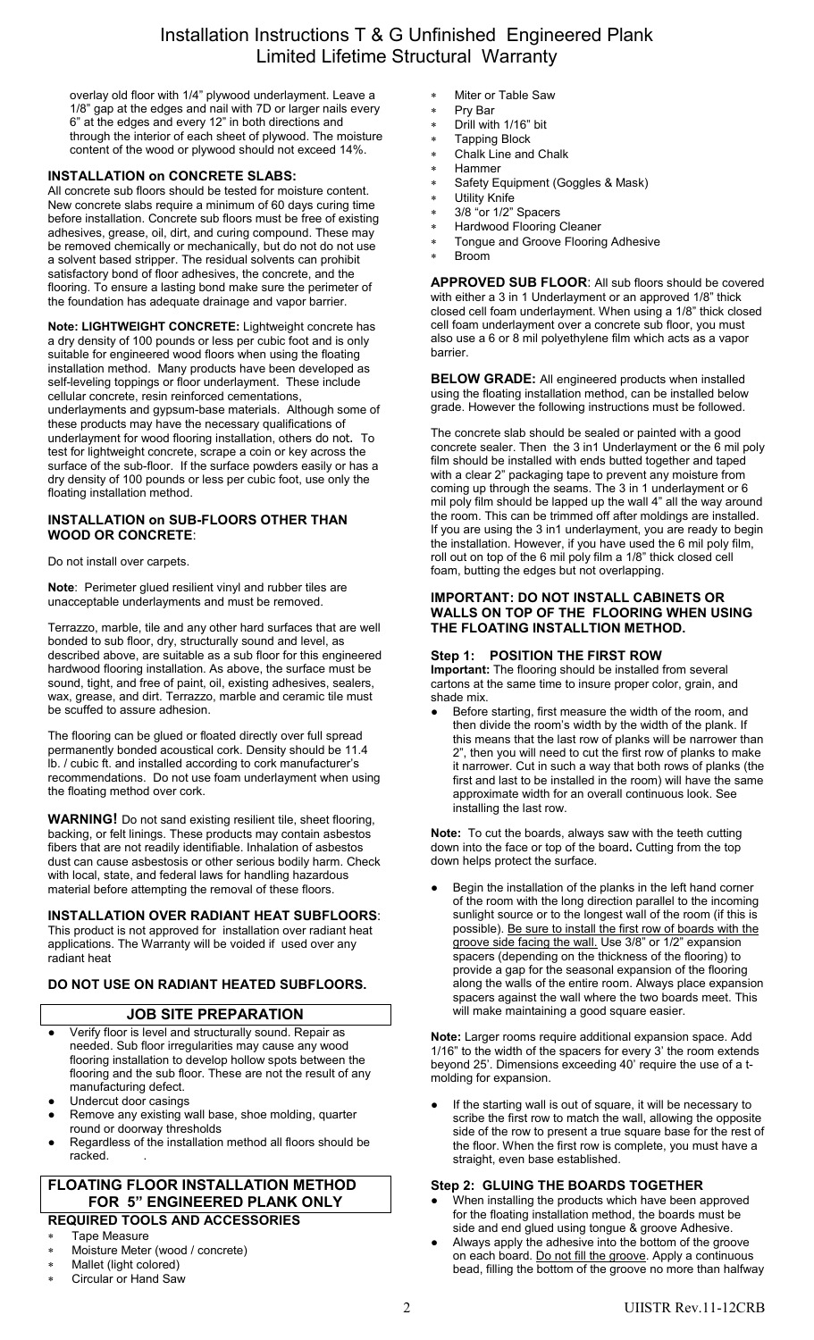# Installation Instructions T & G Unfinished Engineered Plank Limited Lifetime Structural Warranty

overlay old floor with 1/4" plywood underlayment. Leave a 1/8" gap at the edges and nail with 7D or larger nails every 6" at the edges and every 12" in both directions and through the interior of each sheet of plywood. The moisture content of the wood or plywood should not exceed 14%.

## **INSTALLATION on CONCRETE SLABS:**

All concrete sub floors should be tested for moisture content. New concrete slabs require a minimum of 60 days curing time before installation. Concrete sub floors must be free of existing adhesives, grease, oil, dirt, and curing compound. These may be removed chemically or mechanically, but do not do not use a solvent based stripper. The residual solvents can prohibit satisfactory bond of floor adhesives, the concrete, and the flooring. To ensure a lasting bond make sure the perimeter of the foundation has adequate drainage and vapor barrier.

**Note: LIGHTWEIGHT CONCRETE:** Lightweight concrete has a dry density of 100 pounds or less per cubic foot and is only suitable for engineered wood floors when using the floating installation method. Many products have been developed as self-leveling toppings or floor underlayment. These include cellular concrete, resin reinforced cementations, underlayments and gypsum-base materials. Although some of these products may have the necessary qualifications of underlayment for wood flooring installation, others do not. To test for lightweight concrete, scrape a coin or key across the surface of the sub-floor. If the surface powders easily or has a dry density of 100 pounds or less per cubic foot, use only the floating installation method.

## **INSTALLATION on SUB-FLOORS OTHER THAN WOOD OR CONCRETE**:

Do not install over carpets.

**Note**: Perimeter glued resilient vinyl and rubber tiles are unacceptable underlayments and must be removed.

Terrazzo, marble, tile and any other hard surfaces that are well bonded to sub floor, dry, structurally sound and level, as described above, are suitable as a sub floor for this engineered hardwood flooring installation. As above, the surface must be sound, tight, and free of paint, oil, existing adhesives, sealers, wax, grease, and dirt. Terrazzo, marble and ceramic tile must be scuffed to assure adhesion.

The flooring can be glued or floated directly over full spread permanently bonded acoustical cork. Density should be 11.4 lb. / cubic ft. and installed according to cork manufacturer's recommendations. Do not use foam underlayment when using the floating method over cork.

**WARNING!** Do not sand existing resilient tile, sheet flooring, backing, or felt linings. These products may contain asbestos fibers that are not readily identifiable. Inhalation of asbestos dust can cause asbestosis or other serious bodily harm. Check with local, state, and federal laws for handling hazardous material before attempting the removal of these floors.

### **INSTALLATION OVER RADIANT HEAT SUBFLOORS**:

This product is not approved for installation over radiant heat applications. The Warranty will be voided if used over any radiant heat

## **DO NOT USE ON RADIANT HEATED SUBFLOORS.**

## **JOB SITE PREPARATION**

- Verify floor is level and structurally sound. Repair as needed. Sub floor irregularities may cause any wood flooring installation to develop hollow spots between the flooring and the sub floor. These are not the result of any manufacturing defect.
- Undercut door casings
- Remove any existing wall base, shoe molding, quarter round or doorway thresholds
- Regardless of the installation method all floors should be racked.

## **FLOATING FLOOR INSTALLATION METHOD FOR 5" ENGINEERED PLANK ONLY REQUIRED TOOLS AND ACCESSORIES**

# Tape Measure

- Moisture Meter (wood / concrete)
- Mallet (light colored)
- Circular or Hand Saw
- Miter or Table Saw
- Pry Bar
- Drill with 1/16" bit
- Tapping Block Chalk Line and Chalk
- Hammer
- Safety Equipment (Goggles & Mask)
- Utility Knife
- 3/8 "or 1/2" Spacers
- Hardwood Flooring Cleaner
- Tongue and Groove Flooring Adhesive
- Broom

**APPROVED SUB FLOOR**: All sub floors should be covered with either a 3 in 1 Underlayment or an approved 1/8" thick closed cell foam underlayment. When using a 1/8" thick closed cell foam underlayment over a concrete sub floor, you must also use a 6 or 8 mil polyethylene film which acts as a vapor barrier.

**BELOW GRADE:** All engineered products when installed using the floating installation method, can be installed below grade. However the following instructions must be followed.

The concrete slab should be sealed or painted with a good concrete sealer. Then the 3 in1 Underlayment or the 6 mil poly film should be installed with ends butted together and taped with a clear 2" packaging tape to prevent any moisture from coming up through the seams. The 3 in 1 underlayment or 6 mil poly film should be lapped up the wall 4" all the way around the room. This can be trimmed off after moldings are installed. If you are using the 3 in1 underlayment, you are ready to begin the installation. However, if you have used the 6 mil poly film, roll out on top of the 6 mil poly film a 1/8" thick closed cell foam, butting the edges but not overlapping.

#### **IMPORTANT: DO NOT INSTALL CABINETS OR WALLS ON TOP OF THE FLOORING WHEN USING THE FLOATING INSTALLTION METHOD.**

#### **Step 1: POSITION THE FIRST ROW**

**Important:** The flooring should be installed from several cartons at the same time to insure proper color, grain, and shade mix.

Before starting, first measure the width of the room, and then divide the room's width by the width of the plank. If this means that the last row of planks will be narrower than 2", then you will need to cut the first row of planks to make it narrower. Cut in such a way that both rows of planks (the first and last to be installed in the room) will have the same approximate width for an overall continuous look. See installing the last row.

**Note:** To cut the boards, always saw with the teeth cutting down into the face or top of the board**.** Cutting from the top down helps protect the surface.

Begin the installation of the planks in the left hand corner of the room with the long direction parallel to the incoming sunlight source or to the longest wall of the room (if this is possible). Be sure to install the first row of boards with the groove side facing the wall. Use 3/8" or 1/2" expansion spacers (depending on the thickness of the flooring) to provide a gap for the seasonal expansion of the flooring along the walls of the entire room. Always place expansion spacers against the wall where the two boards meet. This will make maintaining a good square easier.

**Note:** Larger rooms require additional expansion space. Add 1/16" to the width of the spacers for every 3' the room extends beyond 25'. Dimensions exceeding 40' require the use of a tmolding for expansion.

If the starting wall is out of square, it will be necessary to scribe the first row to match the wall, allowing the opposite side of the row to present a true square base for the rest of the floor. When the first row is complete, you must have a straight, even base established.

## **Step 2: GLUING THE BOARDS TOGETHER**

- When installing the products which have been approved for the floating installation method, the boards must be side and end glued using tongue & groove Adhesive.
- Always apply the adhesive into the bottom of the groove on each board. Do not fill the groove. Apply a continuous bead, filling the bottom of the groove no more than halfway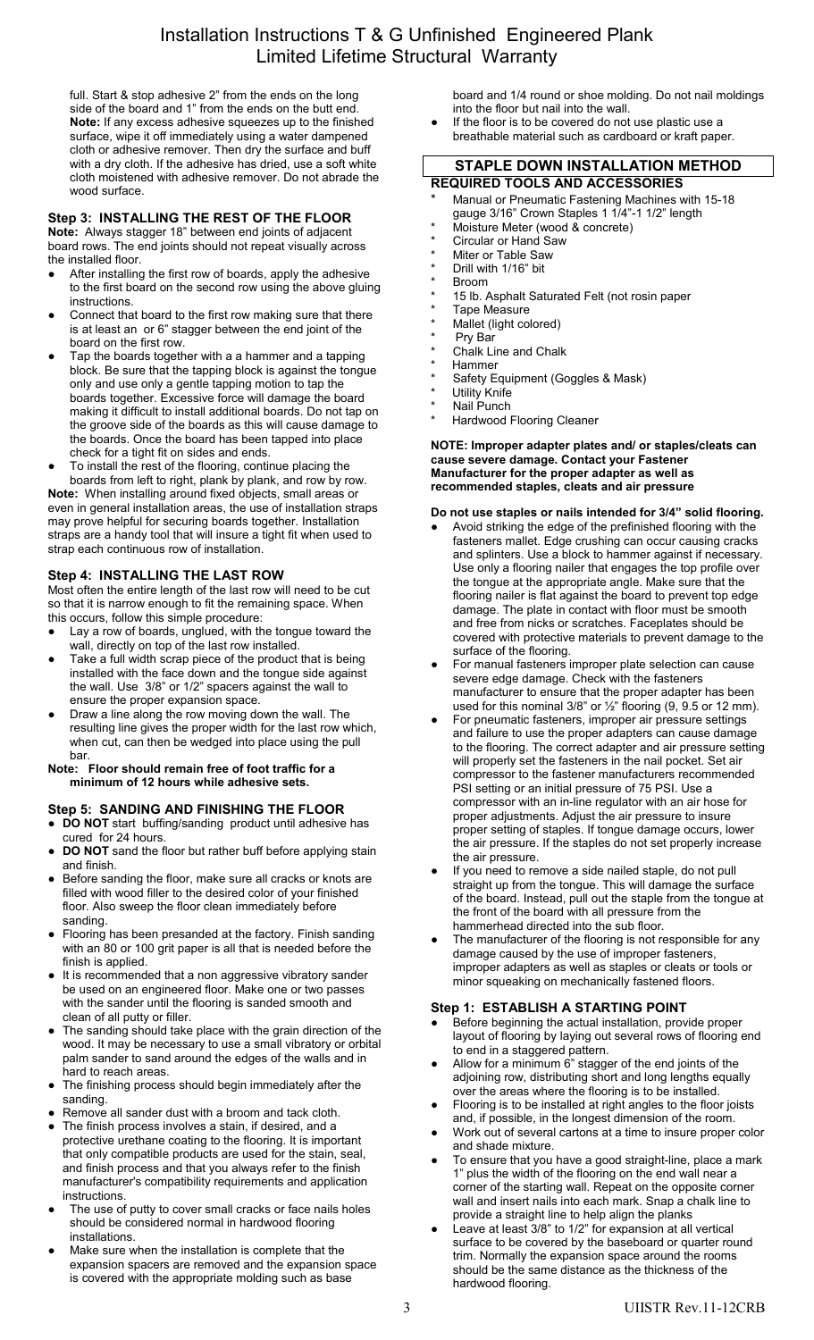# Installation Instructions T & G Unfinished Engineered Plank Limited Lifetime Structural Warranty

full. Start & stop adhesive 2" from the ends on the long side of the board and 1" from the ends on the butt end. **Note:** If any excess adhesive squeezes up to the finished surface, wipe it off immediately using a water dampened cloth or adhesive remover. Then dry the surface and buff with a dry cloth. If the adhesive has dried, use a soft white cloth moistened with adhesive remover. Do not abrade the wood surface.

## **Step 3: INSTALLING THE REST OF THE FLOOR**

**Note:** Always stagger 18" between end joints of adjacent board rows. The end joints should not repeat visually across the installed floor.

- After installing the first row of boards, apply the adhesive to the first board on the second row using the above gluing instructions.
- Connect that board to the first row making sure that there is at least an or 6" stagger between the end joint of the board on the first row.
- Tap the boards together with a a hammer and a tapping block. Be sure that the tapping block is against the tongue only and use only a gentle tapping motion to tap the boards together. Excessive force will damage the board making it difficult to install additional boards. Do not tap on the groove side of the boards as this will cause damage to the boards. Once the board has been tapped into place check for a tight fit on sides and ends.
- To install the rest of the flooring, continue placing the boards from left to right, plank by plank, and row by row.

**Note:** When installing around fixed objects, small areas or even in general installation areas, the use of installation straps may prove helpful for securing boards together. Installation straps are a handy tool that will insure a tight fit when used to strap each continuous row of installation.

## **Step 4: INSTALLING THE LAST ROW**

Most often the entire length of the last row will need to be cut so that it is narrow enough to fit the remaining space. When this occurs, follow this simple procedure:

- Lay a row of boards, unglued, with the tongue toward the wall, directly on top of the last row installed.
- Take a full width scrap piece of the product that is being installed with the face down and the tongue side against the wall. Use 3/8" or 1/2" spacers against the wall to ensure the proper expansion space.
- Draw a line along the row moving down the wall. The resulting line gives the proper width for the last row which, when cut, can then be wedged into place using the pull bar.
- **Note: Floor should remain free of foot traffic for a minimum of 12 hours while adhesive sets.**

## **Step 5: SANDING AND FINISHING THE FLOOR**

**● DO NOT** start buffing/sanding product until adhesive has cured for 24 hours.

- **DO NOT** sand the floor but rather buff before applying stain and finish.
- **●** Before sanding the floor, make sure all cracks or knots are filled with wood filler to the desired color of your finished floor. Also sweep the floor clean immediately before sanding.
- **●** Flooring has been presanded at the factory. Finish sanding with an 80 or 100 grit paper is all that is needed before the finish is applied.
- **●** It is recommended that a non aggressive vibratory sander be used on an engineered floor. Make one or two passes with the sander until the flooring is sanded smooth and clean of all putty or filler.
- **●** The sanding should take place with the grain direction of the wood. It may be necessary to use a small vibratory or orbital palm sander to sand around the edges of the walls and in hard to reach areas.
- **●** The finishing process should begin immediately after the sanding.
- Remove all sander dust with a broom and tack cloth.
- The finish process involves a stain, if desired, and a protective urethane coating to the flooring. It is important that only compatible products are used for the stain, seal, and finish process and that you always refer to the finish manufacturer's compatibility requirements and application instructions.
- The use of putty to cover small cracks or face nails holes should be considered normal in hardwood flooring installations.
- Make sure when the installation is complete that the expansion spacers are removed and the expansion space is covered with the appropriate molding such as base

board and 1/4 round or shoe molding. Do not nail moldings into the floor but nail into the wall.

If the floor is to be covered do not use plastic use a breathable material such as cardboard or kraft paper.

# **STAPLE DOWN INSTALLATION METHOD**

- **REQUIRED TOOLS AND ACCESSORIES** Manual or Pneumatic Fastening Machines with 15-18 gauge 3/16" Crown Staples 1 1/4"-1 1/2" length
- Moisture Meter (wood & concrete)
- Circular or Hand Saw
- Miter or Table Saw
- Drill with 1/16" bit
- **Broom**
- 15 lb. Asphalt Saturated Felt (not rosin paper
- Tape Measure
- Mallet (light colored)
- Pry Bar
- Chalk Line and Chalk **Hammer**
- Safety Equipment (Goggles & Mask)
- \* Utility Knife
- Nail Punch
- Hardwood Flooring Cleaner

#### **NOTE: Improper adapter plates and/ or staples/cleats can cause severe damage. Contact your Fastener Manufacturer for the proper adapter as well as recommended staples, cleats and air pressure**

#### **Do not use staples or nails intended for 3/4" solid flooring.**

- Avoid striking the edge of the prefinished flooring with the fasteners mallet. Edge crushing can occur causing cracks and splinters. Use a block to hammer against if necessary. Use only a flooring nailer that engages the top profile over the tongue at the appropriate angle. Make sure that the flooring nailer is flat against the board to prevent top edge damage. The plate in contact with floor must be smooth and free from nicks or scratches. Faceplates should be covered with protective materials to prevent damage to the surface of the flooring.
- For manual fasteners improper plate selection can cause severe edge damage. Check with the fasteners manufacturer to ensure that the proper adapter has been used for this nominal  $3/8$ " or  $\frac{1}{2}$ " flooring (9, 9.5 or 12 mm).
- For pneumatic fasteners, improper air pressure settings and failure to use the proper adapters can cause damage to the flooring. The correct adapter and air pressure setting will properly set the fasteners in the nail pocket. Set air compressor to the fastener manufacturers recommended PSI setting or an initial pressure of 75 PSI. Use a compressor with an in-line regulator with an air hose for proper adjustments. Adjust the air pressure to insure proper setting of staples. If tongue damage occurs, lower the air pressure. If the staples do not set properly increase the air pressure.
- If you need to remove a side nailed staple, do not pull straight up from the tongue. This will damage the surface of the board. Instead, pull out the staple from the tongue at the front of the board with all pressure from the hammerhead directed into the sub floor.
- The manufacturer of the flooring is not responsible for any damage caused by the use of improper fasteners, improper adapters as well as staples or cleats or tools or minor squeaking on mechanically fastened floors.

### **Step 1: ESTABLISH A STARTING POINT**

- Before beginning the actual installation, provide proper layout of flooring by laying out several rows of flooring end to end in a staggered pattern.
- Allow for a minimum  $6$ " stagger of the end joints of the adjoining row, distributing short and long lengths equally over the areas where the flooring is to be installed.
- Flooring is to be installed at right angles to the floor joists and, if possible, in the longest dimension of the room.
- Work out of several cartons at a time to insure proper color and shade mixture.
- To ensure that you have a good straight-line, place a mark 1" plus the width of the flooring on the end wall near a corner of the starting wall. Repeat on the opposite corner wall and insert nails into each mark. Snap a chalk line to provide a straight line to help align the planks
- Leave at least  $3/8$ " to  $1/2$ " for expansion at all vertical surface to be covered by the baseboard or quarter round trim. Normally the expansion space around the rooms should be the same distance as the thickness of the hardwood flooring.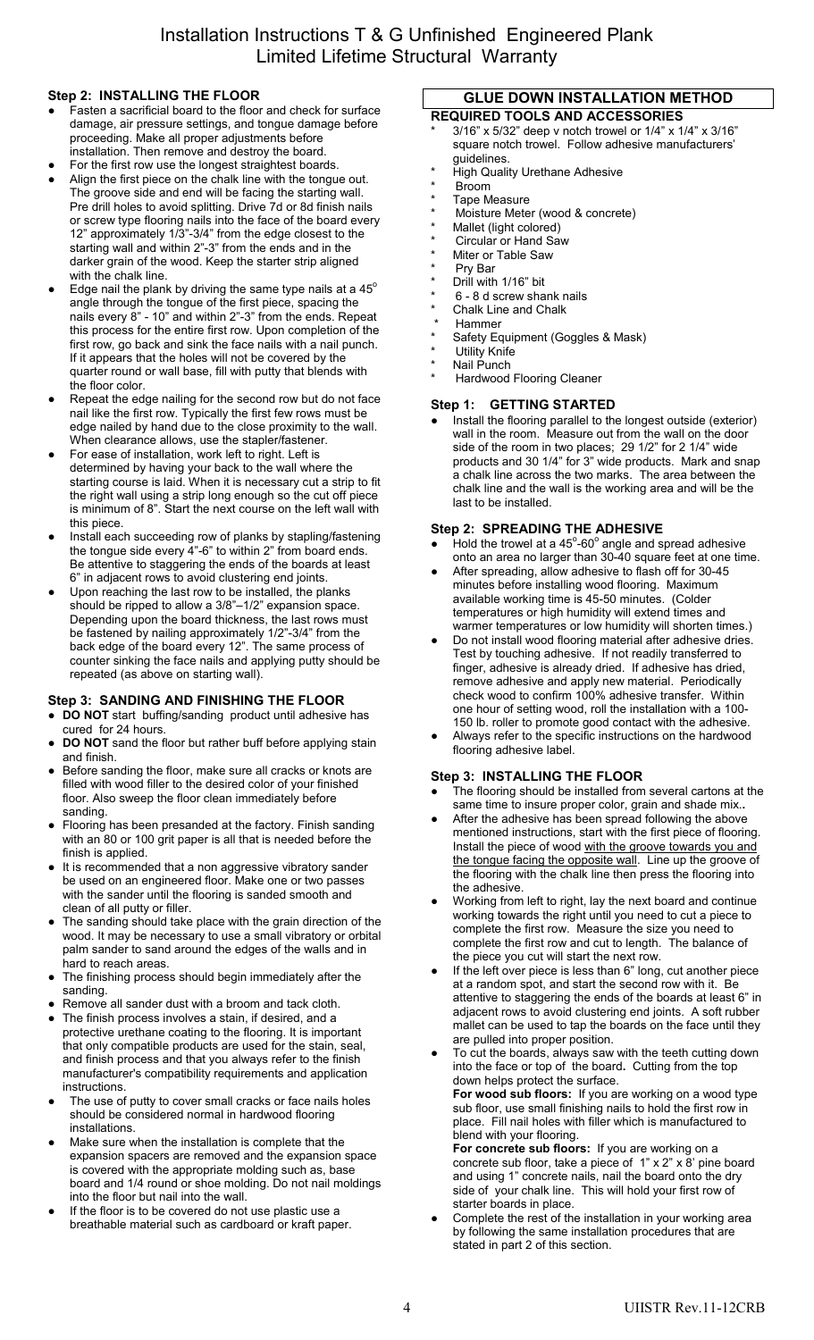# **Step 2: INSTALLING THE FLOOR**

- Fasten a sacrificial board to the floor and check for surface damage, air pressure settings, and tongue damage before proceeding. Make all proper adjustments before installation. Then remove and destroy the board.
- For the first row use the longest straightest boards.
- Align the first piece on the chalk line with the tongue out. The groove side and end will be facing the starting wall. Pre drill holes to avoid splitting. Drive 7d or 8d finish nails or screw type flooring nails into the face of the board every 12" approximately 1/3"-3/4" from the edge closest to the starting wall and within 2"-3" from the ends and in the darker grain of the wood. Keep the starter strip aligned with the chalk line.
- $\bullet$  Edge nail the plank by driving the same type nails at a 45 $^{\circ}$ angle through the tongue of the first piece, spacing the nails every 8" - 10" and within 2"-3" from the ends. Repeat this process for the entire first row. Upon completion of the first row, go back and sink the face nails with a nail punch. If it appears that the holes will not be covered by the quarter round or wall base, fill with putty that blends with the floor color.
- Repeat the edge nailing for the second row but do not face nail like the first row. Typically the first few rows must be edge nailed by hand due to the close proximity to the wall. When clearance allows, use the stapler/fastener.
- For ease of installation, work left to right. Left is determined by having your back to the wall where the starting course is laid. When it is necessary cut a strip to fit the right wall using a strip long enough so the cut off piece is minimum of 8". Start the next course on the left wall with this piece.
- Install each succeeding row of planks by stapling/fastening the tongue side every 4"-6" to within 2" from board ends. Be attentive to staggering the ends of the boards at least 6" in adjacent rows to avoid clustering end joints.
- Upon reaching the last row to be installed, the planks should be ripped to allow a 3/8"–1/2" expansion space. Depending upon the board thickness, the last rows must be fastened by nailing approximately 1/2"-3/4" from the back edge of the board every 12". The same process of counter sinking the face nails and applying putty should be repeated (as above on starting wall).

# **Step 3: SANDING AND FINISHING THE FLOOR**

- **DO NOT** start buffing/sanding product until adhesive has cured for 24 hours.
- **DO NOT** sand the floor but rather buff before applying stain and finish.
- **●** Before sanding the floor, make sure all cracks or knots are filled with wood filler to the desired color of your finished floor. Also sweep the floor clean immediately before sanding.
- **●** Flooring has been presanded at the factory. Finish sanding with an 80 or 100 grit paper is all that is needed before the finish is applied.
- **●** It is recommended that a non aggressive vibratory sander be used on an engineered floor. Make one or two passes with the sander until the flooring is sanded smooth and clean of all putty or filler.
- The sanding should take place with the grain direction of the wood. It may be necessary to use a small vibratory or orbital palm sander to sand around the edges of the walls and in hard to reach areas.
- **●** The finishing process should begin immediately after the sanding.
- Remove all sander dust with a broom and tack cloth.
- The finish process involves a stain, if desired, and a protective urethane coating to the flooring. It is important that only compatible products are used for the stain, seal, and finish process and that you always refer to the finish manufacturer's compatibility requirements and application instructions.
- The use of putty to cover small cracks or face nails holes should be considered normal in hardwood flooring installations.
- Make sure when the installation is complete that the expansion spacers are removed and the expansion space is covered with the appropriate molding such as, base board and 1/4 round or shoe molding. Do not nail moldings into the floor but nail into the wall.
- If the floor is to be covered do not use plastic use a breathable material such as cardboard or kraft paper.

### **GLUE DOWN INSTALLATION METHOD REQUIRED TOOLS AND ACCESSORIES**

- $3/16"$  x 5/32" deep v notch trowel or  $1/4"$  x  $1/4"$  x  $3/16"$ square notch trowel. Follow adhesive manufacturers' guidelines.
- **High Quality Urethane Adhesive**
- **Broom**
- Tape Measure
- Moisture Meter (wood & concrete)
- Mallet (light colored)
- \* Circular or Hand Saw Miter or Table Saw
- 
- Pry Bar
- Drill with 1/16" bit 6 - 8 d screw shank nails
- Chalk Line and Chalk
- **Hammer**
- Safety Equipment (Goggles & Mask)
- \* Utility Knife
- \* Nail Punch
- Hardwood Flooring Cleaner

## **Step 1: GETTING STARTED**

Install the flooring parallel to the longest outside (exterior) wall in the room. Measure out from the wall on the door side of the room in two places; 29 1/2" for 2 1/4" wide products and 30 1/4" for 3" wide products. Mark and snap a chalk line across the two marks. The area between the chalk line and the wall is the working area and will be the last to be installed.

## **Step 2: SPREADING THE ADHESIVE**

- $\bullet$  Hold the trowel at a 45°-60° angle and spread adhesive onto an area no larger than 30-40 square feet at one time.
- After spreading, allow adhesive to flash off for 30-45 minutes before installing wood flooring. Maximum available working time is 45-50 minutes. (Colder temperatures or high humidity will extend times and warmer temperatures or low humidity will shorten times.)
- Do not install wood flooring material after adhesive dries. Test by touching adhesive. If not readily transferred to finger, adhesive is already dried. If adhesive has dried, remove adhesive and apply new material. Periodically check wood to confirm 100% adhesive transfer. Within one hour of setting wood, roll the installation with a 100- 150 lb. roller to promote good contact with the adhesive.
- **●** Always refer to the specific instructions on the hardwood flooring adhesive label.

# **Step 3: INSTALLING THE FLOOR**

- The flooring should be installed from several cartons at the same time to insure proper color, grain and shade mix.**.**
- After the adhesive has been spread following the above mentioned instructions, start with the first piece of flooring. Install the piece of wood with the groove towards you and the tongue facing the opposite wall. Line up the groove of the flooring with the chalk line then press the flooring into the adhesive.
- Working from left to right, lay the next board and continue working towards the right until you need to cut a piece to complete the first row. Measure the size you need to complete the first row and cut to length. The balance of the piece you cut will start the next row.
- If the left over piece is less than 6" long, cut another piece at a random spot, and start the second row with it. Be attentive to staggering the ends of the boards at least 6" in adjacent rows to avoid clustering end joints. A soft rubber mallet can be used to tap the boards on the face until they are pulled into proper position.
- To cut the boards, always saw with the teeth cutting down into the face or top of the board**.** Cutting from the top down helps protect the surface.

**For wood sub floors:** If you are working on a wood type sub floor, use small finishing nails to hold the first row in place. Fill nail holes with filler which is manufactured to blend with your flooring.

**For concrete sub floors:** If you are working on a concrete sub floor, take a piece of 1" x 2" x 8' pine board and using 1" concrete nails, nail the board onto the dry side of your chalk line. This will hold your first row of starter boards in place.

Complete the rest of the installation in your working area by following the same installation procedures that are stated in part 2 of this section.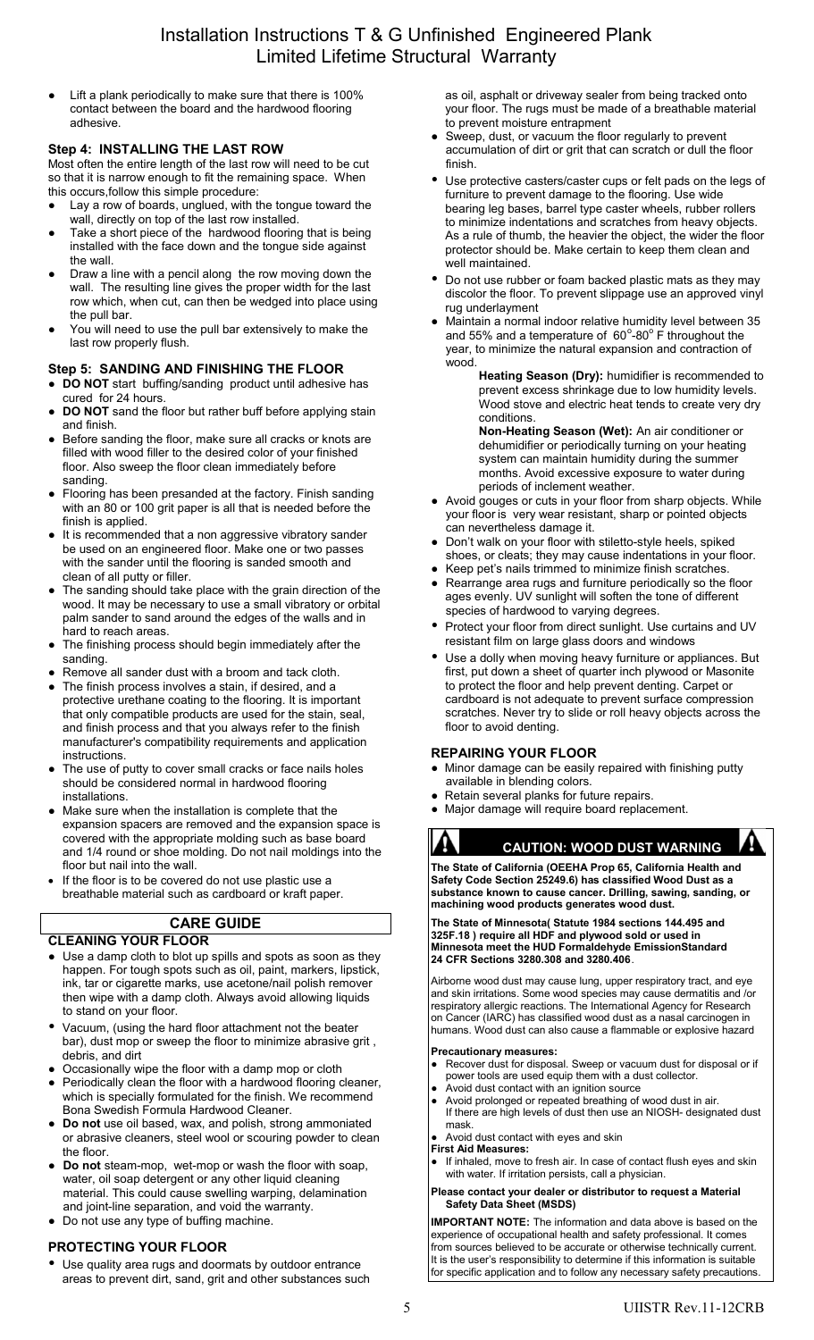# Installation Instructions T & G Unfinished Engineered Plank Limited Lifetime Structural Warranty

Lift a plank periodically to make sure that there is 100% contact between the board and the hardwood flooring adhesive.

## **Step 4: INSTALLING THE LAST ROW**

Most often the entire length of the last row will need to be cut so that it is narrow enough to fit the remaining space. When this occurs,follow this simple procedure:

- Lay a row of boards, unglued, with the tongue toward the wall, directly on top of the last row installed.
- Take a short piece of the hardwood flooring that is being installed with the face down and the tongue side against the wall.
- Draw a line with a pencil along the row moving down the wall. The resulting line gives the proper width for the last row which, when cut, can then be wedged into place using the pull bar.
- You will need to use the pull bar extensively to make the last row properly flush.

## **Step 5: SANDING AND FINISHING THE FLOOR**

- **DO NOT** start buffing/sanding product until adhesive has cured for 24 hours.
- **DO NOT** sand the floor but rather buff before applying stain and finish.
- Before sanding the floor, make sure all cracks or knots are filled with wood filler to the desired color of your finished floor. Also sweep the floor clean immediately before sanding.
- **●** Flooring has been presanded at the factory. Finish sanding with an 80 or 100 grit paper is all that is needed before the finish is applied.
- It is recommended that a non aggressive vibratory sander be used on an engineered floor. Make one or two passes with the sander until the flooring is sanded smooth and clean of all putty or filler.
- The sanding should take place with the grain direction of the wood. It may be necessary to use a small vibratory or orbital palm sander to sand around the edges of the walls and in hard to reach areas.
- The finishing process should begin immediately after the sanding.
- Remove all sander dust with a broom and tack cloth.
- **●** The finish process involves a stain, if desired, and a protective urethane coating to the flooring. It is important that only compatible products are used for the stain, seal, and finish process and that you always refer to the finish manufacturer's compatibility requirements and application instructions.
- The use of putty to cover small cracks or face nails holes should be considered normal in hardwood flooring installations.
- Make sure when the installation is complete that the expansion spacers are removed and the expansion space is covered with the appropriate molding such as base board and 1/4 round or shoe molding. Do not nail moldings into the floor but nail into the wall.
- If the floor is to be covered do not use plastic use a breathable material such as cardboard or kraft paper.

# **CARE GUIDE**

## **CLEANING YOUR FLOOR**

- Use a damp cloth to blot up spills and spots as soon as they happen. For tough spots such as oil, paint, markers, lipstick, ink, tar or cigarette marks, use acetone/nail polish remover then wipe with a damp cloth. Always avoid allowing liquids to stand on your floor.
- Vacuum, (using the hard floor attachment not the beater bar), dust mop or sweep the floor to minimize abrasive grit , debris, and dirt
- Occasionally wipe the floor with a damp mop or cloth
- Periodically clean the floor with a hardwood flooring cleaner, which is specially formulated for the finish. We recommend Bona Swedish Formula Hardwood Cleaner.
- **● Do not** use oil based, wax, and polish, strong ammoniated or abrasive cleaners, steel wool or scouring powder to clean the floor.
- **Do not** steam-mop, wet-mop or wash the floor with soap, water, oil soap detergent or any other liquid cleaning material. This could cause swelling warping, delamination and joint-line separation, and void the warranty.
- Do not use any type of buffing machine.

# **PROTECTING YOUR FLOOR**

 Use quality area rugs and doormats by outdoor entrance areas to prevent dirt, sand, grit and other substances such as oil, asphalt or driveway sealer from being tracked onto your floor. The rugs must be made of a breathable material to prevent moisture entrapment

- Sweep, dust, or vacuum the floor regularly to prevent accumulation of dirt or grit that can scratch or dull the floor finish.
- Use protective casters/caster cups or felt pads on the legs of furniture to prevent damage to the flooring. Use wide bearing leg bases, barrel type caster wheels, rubber rollers to minimize indentations and scratches from heavy objects. As a rule of thumb, the heavier the object, the wider the floor protector should be. Make certain to keep them clean and well maintained.
- Do not use rubber or foam backed plastic mats as they may discolor the floor. To prevent slippage use an approved vinyl rug underlayment
- Maintain a normal indoor relative humidity level between 35 and 55% and a temperature of  $60^{\circ}$ -80 $^{\circ}$  F throughout the year, to minimize the natural expansion and contraction of wood.

**Heating Season (Dry):** humidifier is recommended to prevent excess shrinkage due to low humidity levels. Wood stove and electric heat tends to create very dry conditions.

**Non-Heating Season (Wet):** An air conditioner or dehumidifier or periodically turning on your heating system can maintain humidity during the summer months. Avoid excessive exposure to water during periods of inclement weather.

- Avoid gouges or cuts in your floor from sharp objects. While your floor is very wear resistant, sharp or pointed objects can nevertheless damage it.
- Don't walk on your floor with stiletto-style heels, spiked shoes, or cleats; they may cause indentations in your floor.
- Keep pet's nails trimmed to minimize finish scratches.
- Rearrange area rugs and furniture periodically so the floor ages evenly. UV sunlight will soften the tone of different species of hardwood to varying degrees.
- Protect your floor from direct sunlight. Use curtains and UV resistant film on large glass doors and windows
- Use a dolly when moving heavy furniture or appliances. But first, put down a sheet of quarter inch plywood or Masonite to protect the floor and help prevent denting. Carpet or cardboard is not adequate to prevent surface compression scratches. Never try to slide or roll heavy objects across the floor to avoid denting.

## **REPAIRING YOUR FLOOR**

- Minor damage can be easily repaired with finishing putty available in blending colors.
- Retain several planks for future repairs.
- Major damage will require board replacement.

**C CAUTION: WOOD DUST WARNING**

**The State of California (OEEHA Prop 65, California Health and Safety Code Section 25249.6) has classified Wood Dust as a substance known to cause cancer. Drilling, sawing, sanding, or machining wood products generates wood dust.**

**The State of Minnesota( Statute 1984 sections 144.495 and 325F.18 ) require all HDF and plywood sold or used in Minnesota meet the HUD Formaldehyde EmissionStandard 24 CFR Sections 3280.308 and 3280.406**.

Airborne wood dust may cause lung, upper respiratory tract, and eye and skin irritations. Some wood species may cause dermatitis and /or respiratory allergic reactions. The International Agency for Research on Cancer (IARC) has classified wood dust as a nasal carcinogen in humans. Wood dust can also cause a flammable or explosive hazard

#### **Precautionary measures:**

- Recover dust for disposal. Sweep or vacuum dust for disposal or if power tools are used equip them with a dust collector.
- Avoid dust contact with an ignition source
- Avoid prolonged or repeated breathing of wood dust in air. If there are high levels of dust then use an NIOSH- designated dust
- mask. Avoid dust contact with eyes and skin
- **First Aid Measures:**
- If inhaled, move to fresh air. In case of contact flush eyes and skin with water. If irritation persists, call a physician.

#### **Please contact your dealer or distributor to request a Material Safety Data Sheet (MSDS)**

**IMPORTANT NOTE:** The information and data above is based on the experience of occupational health and safety professional. It comes from sources believed to be accurate or otherwise technically current. It is the user's responsibility to determine if this information is suitable for specific application and to follow any necessary safety precautions.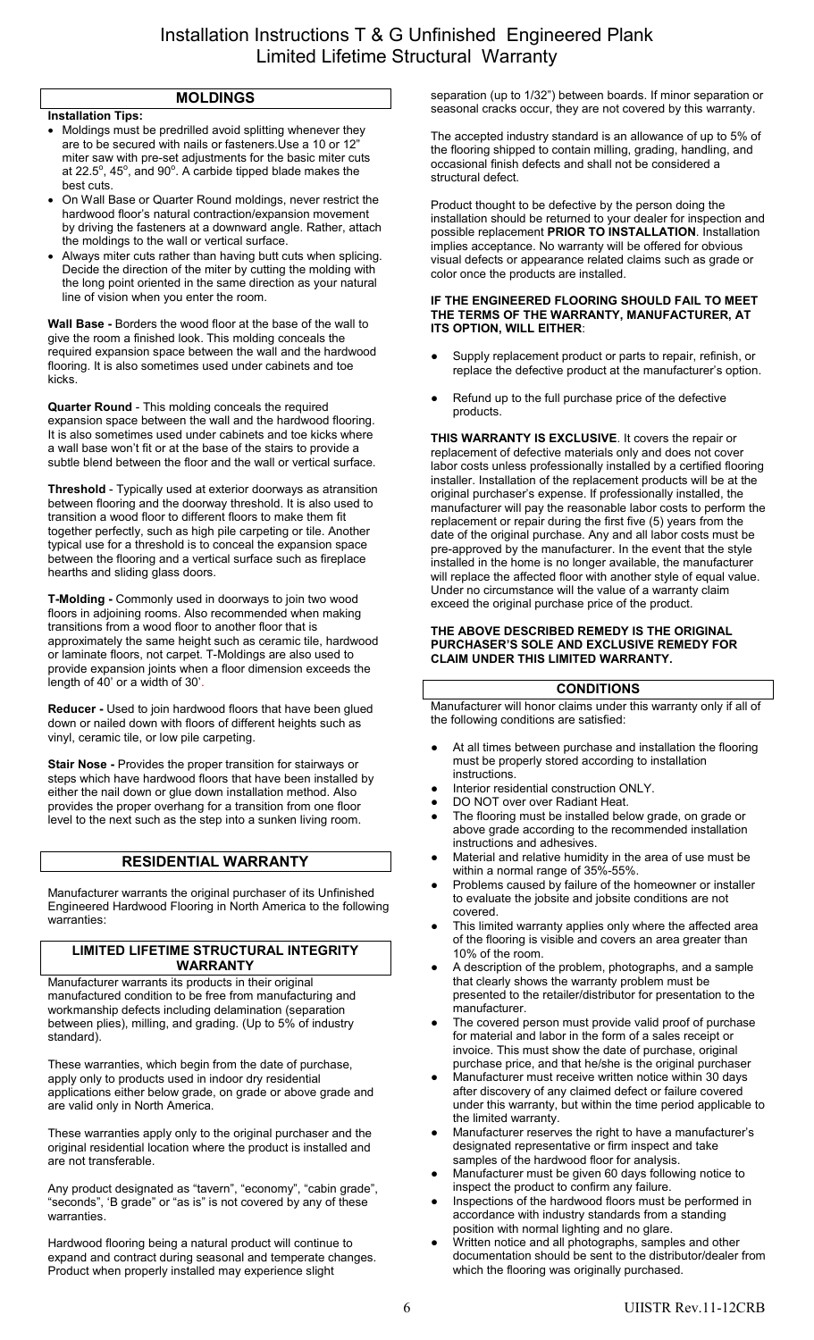# **MOLDINGS**

## **Installation Tips:**

- Moldings must be predrilled avoid splitting whenever they are to be secured with nails or fasteners.Use a 10 or 12" miter saw with pre-set adjustments for the basic miter cuts at 22.5 $^{\circ}$ , 45 $^{\circ}$ , and 90 $^{\circ}$ . A carbide tipped blade makes the best cuts.
- On Wall Base or Quarter Round moldings, never restrict the hardwood floor's natural contraction/expansion movement by driving the fasteners at a downward angle. Rather, attach the moldings to the wall or vertical surface.
- Always miter cuts rather than having butt cuts when splicing. Decide the direction of the miter by cutting the molding with the long point oriented in the same direction as your natural line of vision when you enter the room.

**Wall Base -** Borders the wood floor at the base of the wall to give the room a finished look. This molding conceals the required expansion space between the wall and the hardwood flooring. It is also sometimes used under cabinets and toe kicks.

**Quarter Round** - This molding conceals the required expansion space between the wall and the hardwood flooring. It is also sometimes used under cabinets and toe kicks where a wall base won't fit or at the base of the stairs to provide a subtle blend between the floor and the wall or vertical surface.

**Threshold** - Typically used at exterior doorways as atransition between flooring and the doorway threshold. It is also used to transition a wood floor to different floors to make them fit together perfectly, such as high pile carpeting or tile. Another typical use for a threshold is to conceal the expansion space between the flooring and a vertical surface such as fireplace hearths and sliding glass doors.

**T-Molding -** Commonly used in doorways to join two wood floors in adjoining rooms. Also recommended when making transitions from a wood floor to another floor that is approximately the same height such as ceramic tile, hardwood or laminate floors, not carpet. T-Moldings are also used to provide expansion joints when a floor dimension exceeds the length of 40' or a width of 30'.

**Reducer -** Used to join hardwood floors that have been glued down or nailed down with floors of different heights such as vinyl, ceramic tile, or low pile carpeting.

**Stair Nose -** Provides the proper transition for stairways or steps which have hardwood floors that have been installed by either the nail down or glue down installation method. Also provides the proper overhang for a transition from one floor level to the next such as the step into a sunken living room.

# **RESIDENTIAL WARRANTY**

Manufacturer warrants the original purchaser of its Unfinished Engineered Hardwood Flooring in North America to the following warranties:

#### **LIMITED LIFETIME STRUCTURAL INTEGRITY WARRANTY**

Manufacturer warrants its products in their original manufactured condition to be free from manufacturing and workmanship defects including delamination (separation between plies), milling, and grading. (Up to 5% of industry standard).

These warranties, which begin from the date of purchase, apply only to products used in indoor dry residential applications either below grade, on grade or above grade and are valid only in North America.

These warranties apply only to the original purchaser and the original residential location where the product is installed and are not transferable.

Any product designated as "tavern", "economy", "cabin grade", "seconds", 'B grade" or "as is" is not covered by any of these warranties.

Hardwood flooring being a natural product will continue to expand and contract during seasonal and temperate changes. Product when properly installed may experience slight

separation (up to 1/32") between boards. If minor separation or seasonal cracks occur, they are not covered by this warranty.

The accepted industry standard is an allowance of up to 5% of the flooring shipped to contain milling, grading, handling, and occasional finish defects and shall not be considered a structural defect.

Product thought to be defective by the person doing the installation should be returned to your dealer for inspection and possible replacement **PRIOR TO INSTALLATION**. Installation implies acceptance. No warranty will be offered for obvious visual defects or appearance related claims such as grade or color once the products are installed.

#### **IF THE ENGINEERED FLOORING SHOULD FAIL TO MEET THE TERMS OF THE WARRANTY, MANUFACTURER, AT ITS OPTION, WILL EITHER**:

- Supply replacement product or parts to repair, refinish, or replace the defective product at the manufacturer's option.
- Refund up to the full purchase price of the defective products.

**THIS WARRANTY IS EXCLUSIVE**. It covers the repair or replacement of defective materials only and does not cover labor costs unless professionally installed by a certified flooring installer. Installation of the replacement products will be at the original purchaser's expense. If professionally installed, the manufacturer will pay the reasonable labor costs to perform the replacement or repair during the first five (5) years from the date of the original purchase. Any and all labor costs must be pre-approved by the manufacturer. In the event that the style installed in the home is no longer available, the manufacturer will replace the affected floor with another style of equal value. Under no circumstance will the value of a warranty claim exceed the original purchase price of the product.

#### **THE ABOVE DESCRIBED REMEDY IS THE ORIGINAL PURCHASER'S SOLE AND EXCLUSIVE REMEDY FOR CLAIM UNDER THIS LIMITED WARRANTY.**

## **CONDITIONS**

Manufacturer will honor claims under this warranty only if all of the following conditions are satisfied:

- At all times between purchase and installation the flooring must be properly stored according to installation instructions.
- Interior residential construction ONLY.
- DO NOT over over Radiant Heat.
- The flooring must be installed below grade, on grade or above grade according to the recommended installation instructions and adhesives.
- Material and relative humidity in the area of use must be within a normal range of 35%-55%.
- Problems caused by failure of the homeowner or installer to evaluate the jobsite and jobsite conditions are not covered.
- This limited warranty applies only where the affected area of the flooring is visible and covers an area greater than 10% of the room.
- A description of the problem, photographs, and a sample that clearly shows the warranty problem must be presented to the retailer/distributor for presentation to the manufacturer.
- The covered person must provide valid proof of purchase for material and labor in the form of a sales receipt or invoice. This must show the date of purchase, original purchase price, and that he/she is the original purchaser
- Manufacturer must receive written notice within 30 days after discovery of any claimed defect or failure covered under this warranty, but within the time period applicable to the limited warranty.
- Manufacturer reserves the right to have a manufacturer's designated representative or firm inspect and take samples of the hardwood floor for analysis
- Manufacturer must be given 60 days following notice to inspect the product to confirm any failure.
- Inspections of the hardwood floors must be performed in accordance with industry standards from a standing position with normal lighting and no glare.
- Written notice and all photographs, samples and other documentation should be sent to the distributor/dealer from which the flooring was originally purchased.